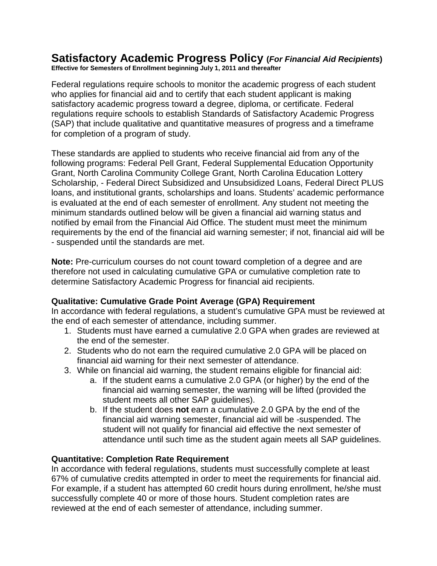#### **Satisfactory Academic Progress Policy (***For Financial Aid Recipients***) Effective for Semesters of Enrollment beginning July 1, 2011 and thereafter**

Federal regulations require schools to monitor the academic progress of each student who applies for financial aid and to certify that each student applicant is making satisfactory academic progress toward a degree, diploma, or certificate. Federal regulations require schools to establish Standards of Satisfactory Academic Progress (SAP) that include qualitative and quantitative measures of progress and a timeframe for completion of a program of study.

These standards are applied to students who receive financial aid from any of the following programs: Federal Pell Grant, Federal Supplemental Education Opportunity Grant, North Carolina Community College Grant, North Carolina Education Lottery Scholarship, - Federal Direct Subsidized and Unsubsidized Loans, Federal Direct PLUS loans, and institutional grants, scholarships and loans. Students' academic performance is evaluated at the end of each semester of enrollment. Any student not meeting the minimum standards outlined below will be given a financial aid warning status and notified by email from the Financial Aid Office. The student must meet the minimum requirements by the end of the financial aid warning semester; if not, financial aid will be - suspended until the standards are met.

**Note:** Pre-curriculum courses do not count toward completion of a degree and are therefore not used in calculating cumulative GPA or cumulative completion rate to determine Satisfactory Academic Progress for financial aid recipients.

### **Qualitative: Cumulative Grade Point Average (GPA) Requirement**

In accordance with federal regulations, a student's cumulative GPA must be reviewed at the end of each semester of attendance, including summer.

- 1. Students must have earned a cumulative 2.0 GPA when grades are reviewed at the end of the semester.
- 2. Students who do not earn the required cumulative 2.0 GPA will be placed on financial aid warning for their next semester of attendance.
- 3. While on financial aid warning, the student remains eligible for financial aid:
	- a. If the student earns a cumulative 2.0 GPA (or higher) by the end of the financial aid warning semester, the warning will be lifted (provided the student meets all other SAP guidelines).
	- b. If the student does **not** earn a cumulative 2.0 GPA by the end of the financial aid warning semester, financial aid will be -suspended. The student will not qualify for financial aid effective the next semester of attendance until such time as the student again meets all SAP guidelines.

### **Quantitative: Completion Rate Requirement**

In accordance with federal regulations, students must successfully complete at least 67% of cumulative credits attempted in order to meet the requirements for financial aid. For example, if a student has attempted 60 credit hours during enrollment, he/she must successfully complete 40 or more of those hours. Student completion rates are reviewed at the end of each semester of attendance, including summer.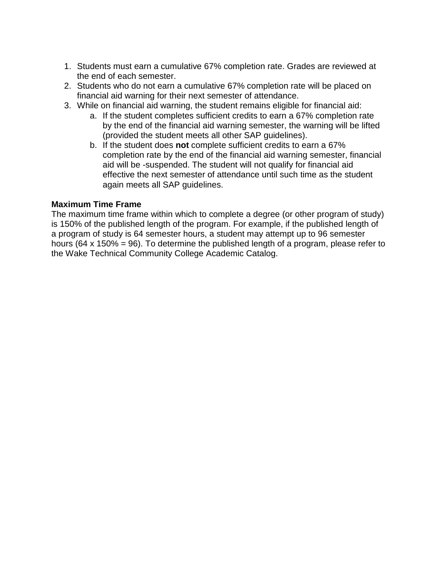- 1. Students must earn a cumulative 67% completion rate. Grades are reviewed at the end of each semester.
- 2. Students who do not earn a cumulative 67% completion rate will be placed on financial aid warning for their next semester of attendance.
- 3. While on financial aid warning, the student remains eligible for financial aid:
	- a. If the student completes sufficient credits to earn a 67% completion rate by the end of the financial aid warning semester, the warning will be lifted (provided the student meets all other SAP guidelines).
	- b. If the student does **not** complete sufficient credits to earn a 67% completion rate by the end of the financial aid warning semester, financial aid will be -suspended. The student will not qualify for financial aid effective the next semester of attendance until such time as the student again meets all SAP guidelines.

### **Maximum Time Frame**

The maximum time frame within which to complete a degree (or other program of study) is 150% of the published length of the program. For example, if the published length of a program of study is 64 semester hours, a student may attempt up to 96 semester hours (64 x 150% = 96). To determine the published length of a program, please refer to the Wake Technical Community College Academic Catalog.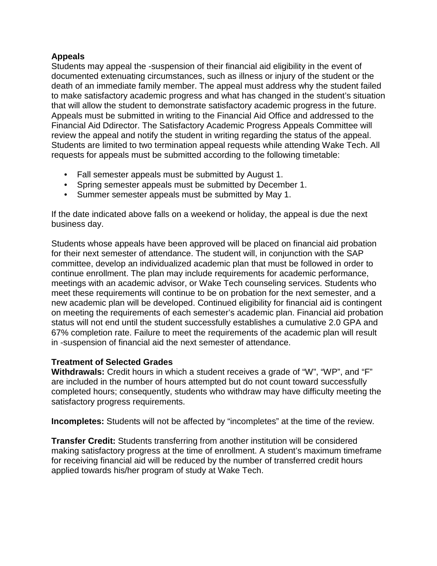## **Appeals**

Students may appeal the -suspension of their financial aid eligibility in the event of documented extenuating circumstances, such as illness or injury of the student or the death of an immediate family member. The appeal must address why the student failed to make satisfactory academic progress and what has changed in the student's situation that will allow the student to demonstrate satisfactory academic progress in the future. Appeals must be submitted in writing to the Financial Aid Office and addressed to the Financial Aid Ddirector. The Satisfactory Academic Progress Appeals Committee will review the appeal and notify the student in writing regarding the status of the appeal. Students are limited to two termination appeal requests while attending Wake Tech. All requests for appeals must be submitted according to the following timetable:

- Fall semester appeals must be submitted by August 1.
- Spring semester appeals must be submitted by December 1.
- Summer semester appeals must be submitted by May 1.

If the date indicated above falls on a weekend or holiday, the appeal is due the next business day.

Students whose appeals have been approved will be placed on financial aid probation for their next semester of attendance. The student will, in conjunction with the SAP committee, develop an individualized academic plan that must be followed in order to continue enrollment. The plan may include requirements for academic performance, meetings with an academic advisor, or Wake Tech counseling services. Students who meet these requirements will continue to be on probation for the next semester, and a new academic plan will be developed. Continued eligibility for financial aid is contingent on meeting the requirements of each semester's academic plan. Financial aid probation status will not end until the student successfully establishes a cumulative 2.0 GPA and 67% completion rate. Failure to meet the requirements of the academic plan will result in -suspension of financial aid the next semester of attendance.

# **Treatment of Selected Grades**

**Withdrawals:** Credit hours in which a student receives a grade of "W", "WP", and "F" are included in the number of hours attempted but do not count toward successfully completed hours; consequently, students who withdraw may have difficulty meeting the satisfactory progress requirements.

**Incompletes:** Students will not be affected by "incompletes" at the time of the review.

**Transfer Credit:** Students transferring from another institution will be considered making satisfactory progress at the time of enrollment. A student's maximum timeframe for receiving financial aid will be reduced by the number of transferred credit hours applied towards his/her program of study at Wake Tech.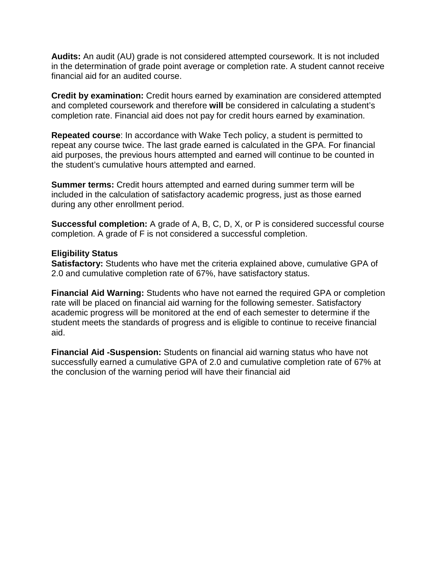**Audits:** An audit (AU) grade is not considered attempted coursework. It is not included in the determination of grade point average or completion rate. A student cannot receive financial aid for an audited course.

**Credit by examination:** Credit hours earned by examination are considered attempted and completed coursework and therefore **will** be considered in calculating a student's completion rate. Financial aid does not pay for credit hours earned by examination.

**Repeated course**: In accordance with Wake Tech policy, a student is permitted to repeat any course twice. The last grade earned is calculated in the GPA. For financial aid purposes, the previous hours attempted and earned will continue to be counted in the student's cumulative hours attempted and earned.

**Summer terms:** Credit hours attempted and earned during summer term will be included in the calculation of satisfactory academic progress, just as those earned during any other enrollment period.

**Successful completion:** A grade of A, B, C, D, X, or P is considered successful course completion. A grade of F is not considered a successful completion.

#### **Eligibility Status**

**Satisfactory:** Students who have met the criteria explained above, cumulative GPA of 2.0 and cumulative completion rate of 67%, have satisfactory status.

**Financial Aid Warning:** Students who have not earned the required GPA or completion rate will be placed on financial aid warning for the following semester. Satisfactory academic progress will be monitored at the end of each semester to determine if the student meets the standards of progress and is eligible to continue to receive financial aid.

**Financial Aid -Suspension:** Students on financial aid warning status who have not successfully earned a cumulative GPA of 2.0 and cumulative completion rate of 67% at the conclusion of the warning period will have their financial aid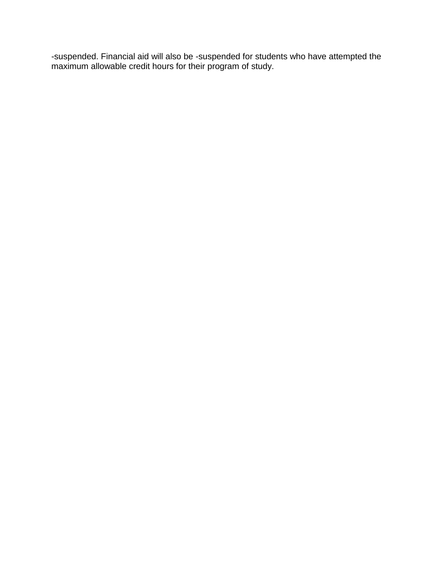-suspended. Financial aid will also be -suspended for students who have attempted the maximum allowable credit hours for their program of study.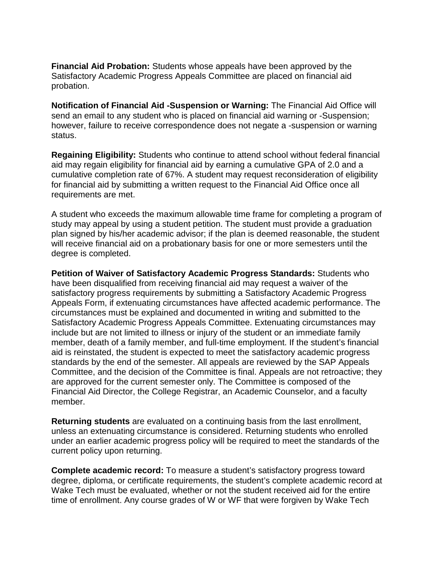**Financial Aid Probation:** Students whose appeals have been approved by the Satisfactory Academic Progress Appeals Committee are placed on financial aid probation.

**Notification of Financial Aid -Suspension or Warning:** The Financial Aid Office will send an email to any student who is placed on financial aid warning or -Suspension; however, failure to receive correspondence does not negate a -suspension or warning status.

**Regaining Eligibility:** Students who continue to attend school without federal financial aid may regain eligibility for financial aid by earning a cumulative GPA of 2.0 and a cumulative completion rate of 67%. A student may request reconsideration of eligibility for financial aid by submitting a written request to the Financial Aid Office once all requirements are met.

A student who exceeds the maximum allowable time frame for completing a program of study may appeal by using a student petition. The student must provide a graduation plan signed by his/her academic advisor; if the plan is deemed reasonable, the student will receive financial aid on a probationary basis for one or more semesters until the degree is completed.

**Petition of Waiver of Satisfactory Academic Progress Standards:** Students who have been disqualified from receiving financial aid may request a waiver of the satisfactory progress requirements by submitting a Satisfactory Academic Progress Appeals Form, if extenuating circumstances have affected academic performance. The circumstances must be explained and documented in writing and submitted to the Satisfactory Academic Progress Appeals Committee. Extenuating circumstances may include but are not limited to illness or injury of the student or an immediate family member, death of a family member, and full-time employment. If the student's financial aid is reinstated, the student is expected to meet the satisfactory academic progress standards by the end of the semester. All appeals are reviewed by the SAP Appeals Committee, and the decision of the Committee is final. Appeals are not retroactive; they are approved for the current semester only. The Committee is composed of the Financial Aid Director, the College Registrar, an Academic Counselor, and a faculty member.

**Returning students** are evaluated on a continuing basis from the last enrollment, unless an extenuating circumstance is considered. Returning students who enrolled under an earlier academic progress policy will be required to meet the standards of the current policy upon returning.

**Complete academic record:** To measure a student's satisfactory progress toward degree, diploma, or certificate requirements, the student's complete academic record at Wake Tech must be evaluated, whether or not the student received aid for the entire time of enrollment. Any course grades of W or WF that were forgiven by Wake Tech